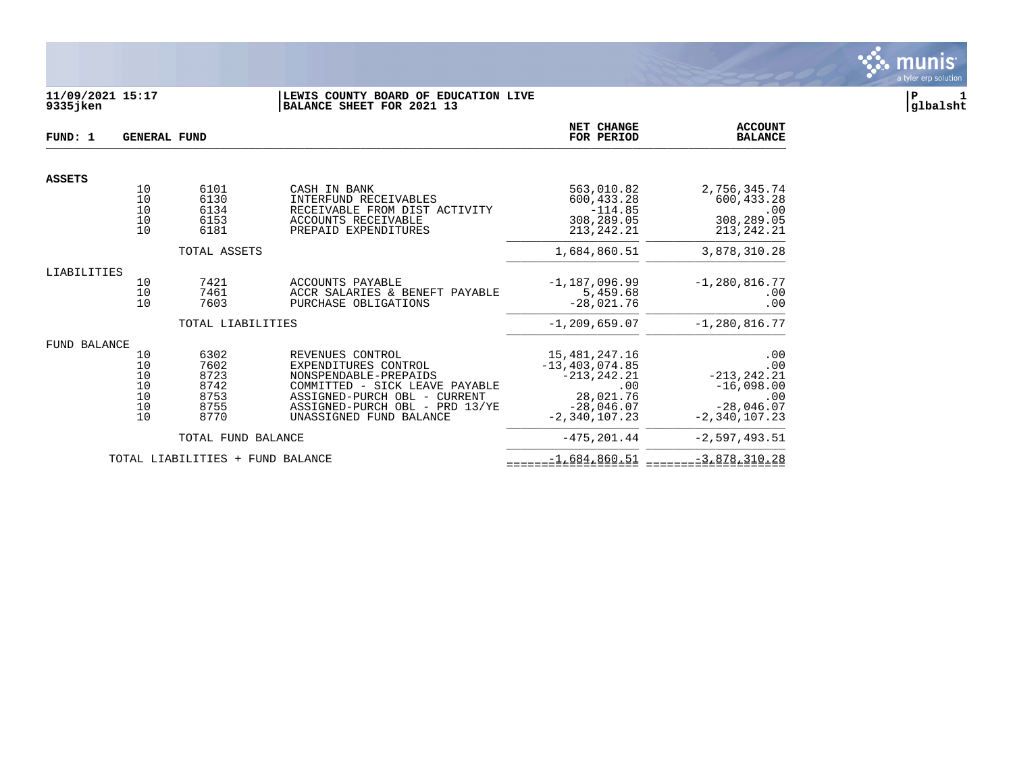

# **11/09/2021 15:17 |LEWIS COUNTY BOARD OF EDUCATION LIVE |P 1 9335jken |BALANCE SHEET FOR 2021 13 |glbalsht**

| FUND: 1             | <b>GENERAL FUND</b> |                                  |                                                                        | NET CHANGE<br>FOR PERIOD              | <b>ACCOUNT</b><br><b>BALANCE</b>  |
|---------------------|---------------------|----------------------------------|------------------------------------------------------------------------|---------------------------------------|-----------------------------------|
| <b>ASSETS</b>       |                     |                                  |                                                                        |                                       |                                   |
|                     | 10<br>10<br>10      | 6101<br>6130<br>6134             | CASH IN BANK<br>INTERFUND RECEIVABLES<br>RECEIVABLE FROM DIST ACTIVITY | 563,010.82<br>600,433.28<br>$-114.85$ | 2,756,345.74<br>600,433.28<br>.00 |
|                     | 10<br>10            | 6153<br>6181                     | ACCOUNTS RECEIVABLE<br>PREPAID EXPENDITURES                            | 308,289.05<br>213, 242. 21            | 308,289.05<br>213,242.21          |
|                     |                     | TOTAL ASSETS                     |                                                                        | 1,684,860.51                          | 3,878,310.28                      |
| LIABILITIES         |                     |                                  |                                                                        |                                       |                                   |
|                     | 10<br>10            | 7421<br>7461                     | <b>ACCOUNTS PAYABLE</b><br>ACCR SALARIES & BENEFT PAYABLE              | $-1,187,096.99$<br>5,459.68           | $-1, 280, 816.77$<br>.00          |
|                     | 10                  | 7603                             | PURCHASE OBLIGATIONS                                                   | $-28,021.76$                          | .00                               |
|                     |                     | TOTAL LIABILITIES                |                                                                        | $-1, 209, 659.07$                     | $-1, 280, 816.77$                 |
| <b>FUND BALANCE</b> |                     |                                  |                                                                        |                                       |                                   |
|                     | 10                  | 6302                             | REVENUES CONTROL                                                       | 15,481,247.16                         | .00                               |
|                     | 10<br>10            | 7602<br>8723                     | EXPENDITURES CONTROL<br>NONSPENDABLE-PREPAIDS                          | $-13, 403, 074.85$<br>$-213, 242.21$  | .00<br>$-213, 242.21$             |
|                     | 10                  | 8742                             | COMMITTED - SICK LEAVE PAYABLE                                         | .00                                   | $-16,098.00$                      |
|                     | 10<br>10            | 8753<br>8755                     | ASSIGNED-PURCH OBL - CURRENT<br>ASSIGNED-PURCH OBL - PRD 13/YE         | 28,021.76<br>$-28,046.07$             | .00<br>$-28,046.07$               |
|                     | 10                  | 8770                             | UNASSIGNED FUND BALANCE                                                | $-2,340,107,23$                       | $-2,340,107,23$                   |
|                     |                     | TOTAL FUND BALANCE               |                                                                        | $-475, 201.44$                        | $-2,597,493.51$                   |
|                     |                     | TOTAL LIABILITIES + FUND BALANCE |                                                                        | $-1,684,860.51$                       | $-3,878,310.28$                   |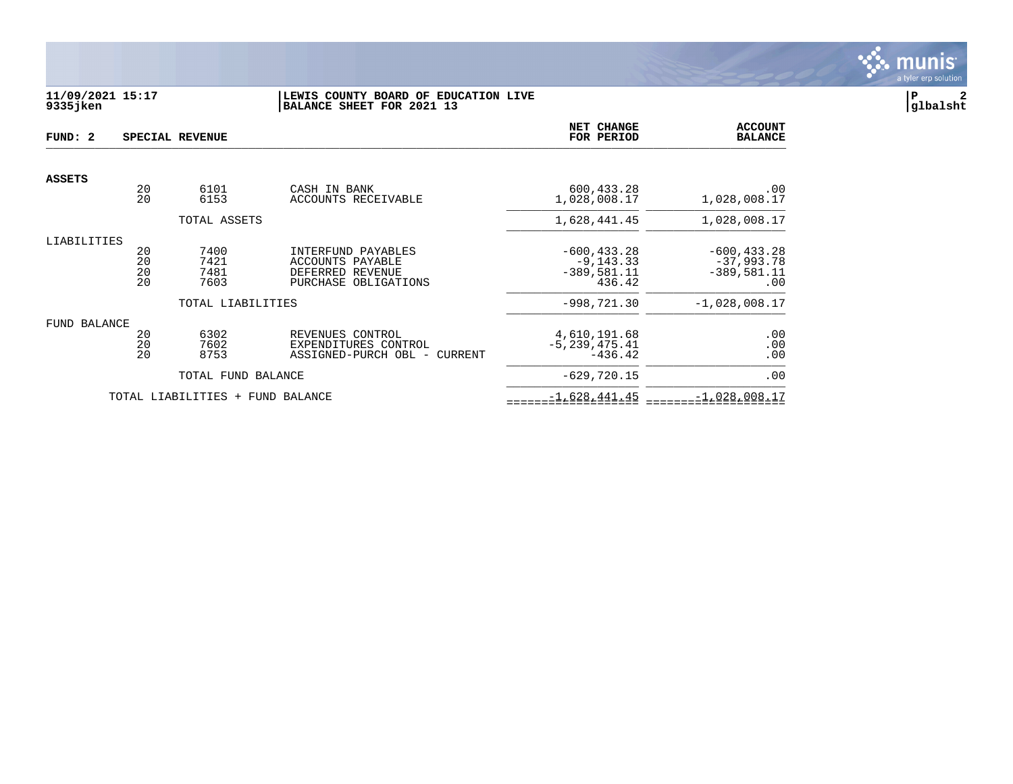

# **11/09/2021 15:17 |LEWIS COUNTY BOARD OF EDUCATION LIVE |P 2 9335jken |BALANCE SHEET FOR 2021 13 |glbalsht**

| FUND: 2       |                      | SPECIAL REVENUE              |                                                                                    | NET CHANGE<br>FOR PERIOD                                  | <b>ACCOUNT</b><br><b>BALANCE</b>                       |
|---------------|----------------------|------------------------------|------------------------------------------------------------------------------------|-----------------------------------------------------------|--------------------------------------------------------|
| <b>ASSETS</b> |                      |                              |                                                                                    |                                                           |                                                        |
|               | 20<br>20             | 6101<br>6153                 | CASH IN BANK<br>ACCOUNTS RECEIVABLE                                                | 600,433.28<br>1,028,008.17                                | .00<br>1,028,008.17                                    |
|               |                      | TOTAL ASSETS                 |                                                                                    | 1,628,441.45                                              | 1,028,008.17                                           |
| LIABILITIES   | 20<br>20<br>20<br>20 | 7400<br>7421<br>7481<br>7603 | INTERFUND PAYABLES<br>ACCOUNTS PAYABLE<br>DEFERRED REVENUE<br>PURCHASE OBLIGATIONS | $-600, 433.28$<br>$-9, 143.33$<br>$-389,581.11$<br>436.42 | $-600, 433.28$<br>$-37,993.78$<br>$-389,581.11$<br>.00 |
|               |                      | TOTAL LIABILITIES            |                                                                                    | $-998, 721.30$                                            | $-1,028,008.17$                                        |
| FUND BALANCE  | 20<br>20<br>20       | 6302<br>7602<br>8753         | REVENUES CONTROL<br>EXPENDITURES CONTROL<br>ASSIGNED-PURCH OBL -<br>CURRENT        | 4,610,191.68<br>$-5, 239, 475.41$<br>$-436.42$            | .00<br>.00<br>.00                                      |
|               |                      | TOTAL FUND BALANCE           |                                                                                    | $-629,720.15$                                             | .00                                                    |
|               |                      | TOTAL LIABILITIES +          | FUND BALANCE                                                                       | $-1,628,441.45$                                           | $-1,028,008.17$                                        |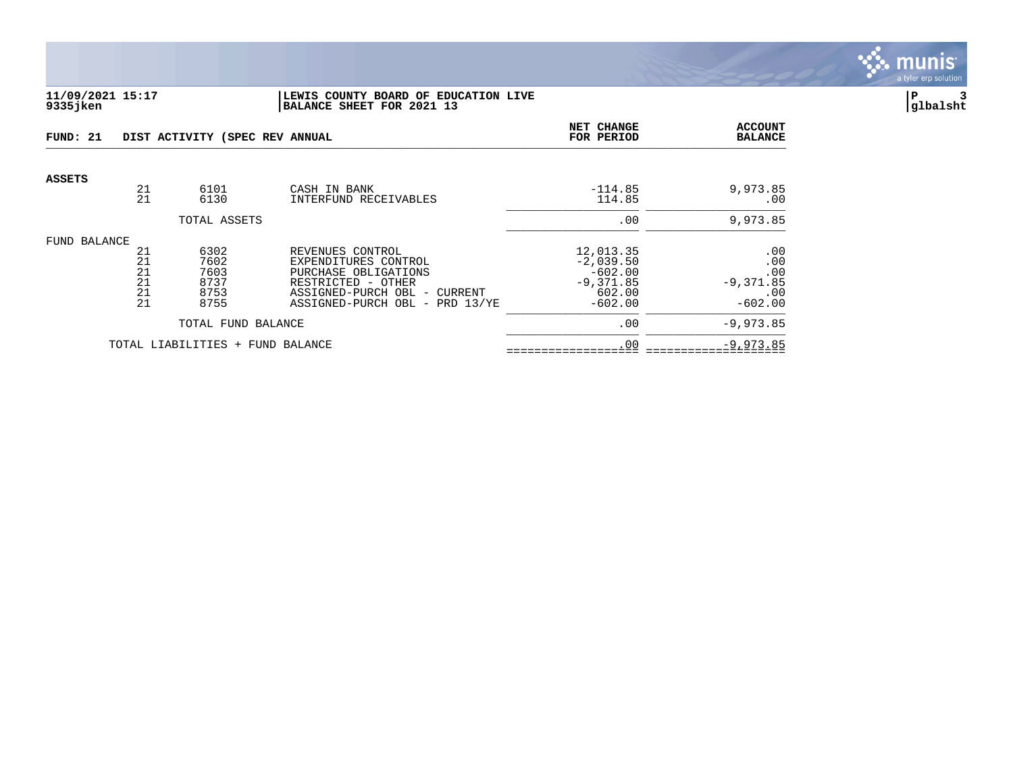

## **11/09/2021 15:17 |LEWIS COUNTY BOARD OF EDUCATION LIVE |P 3 9335jken |BALANCE SHEET FOR 2021 13 |glbalsht**

| FUND: 21      |                                  | DIST ACTIVITY (SPEC REV ANNUAL               |                                                                                                                                                          | <b>NET CHANGE</b><br>FOR PERIOD                                             | <b>ACCOUNT</b><br><b>BALANCE</b>                          |
|---------------|----------------------------------|----------------------------------------------|----------------------------------------------------------------------------------------------------------------------------------------------------------|-----------------------------------------------------------------------------|-----------------------------------------------------------|
| <b>ASSETS</b> | 21<br>21                         | 6101<br>6130                                 | CASH IN BANK<br>INTERFUND RECEIVABLES                                                                                                                    | $-114.85$<br>114.85                                                         | 9,973.85<br>$.00 \,$                                      |
|               |                                  | TOTAL ASSETS                                 |                                                                                                                                                          | .00                                                                         | 9,973.85                                                  |
| FUND BALANCE  |                                  |                                              |                                                                                                                                                          |                                                                             |                                                           |
|               | 21<br>21<br>21<br>21<br>21<br>21 | 6302<br>7602<br>7603<br>8737<br>8753<br>8755 | REVENUES CONTROL<br>EXPENDITURES CONTROL<br>PURCHASE OBLIGATIONS<br>RESTRICTED - OTHER<br>ASSIGNED-PURCH OBL - CURRENT<br>ASSIGNED-PURCH OBL - PRD 13/YE | 12,013.35<br>$-2,039.50$<br>$-602.00$<br>$-9,371.85$<br>602.00<br>$-602.00$ | $.00 \,$<br>.00<br>.00<br>$-9,371.85$<br>.00<br>$-602.00$ |
|               |                                  | TOTAL FUND BALANCE                           |                                                                                                                                                          | .00                                                                         | $-9,973.85$                                               |
|               |                                  | TOTAL LIABILITIES + FUND BALANCE             |                                                                                                                                                          | .00                                                                         | $-9,973.85$                                               |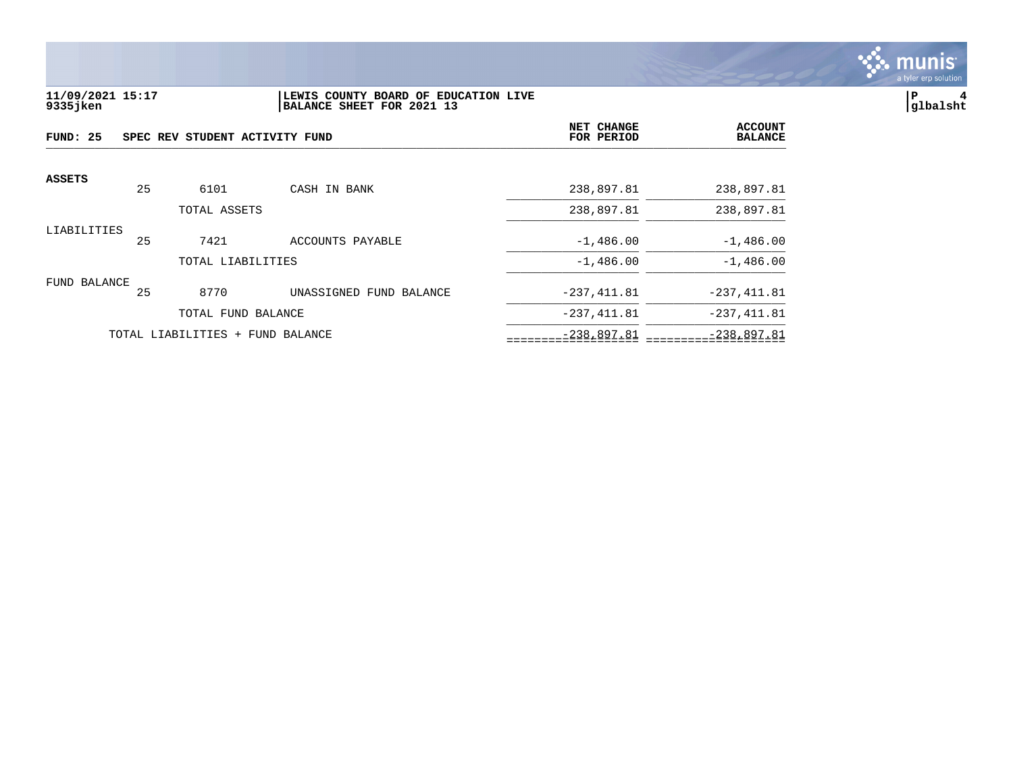

## **11/09/2021 15:17 |LEWIS COUNTY BOARD OF EDUCATION LIVE |P 4 9335jken |BALANCE SHEET FOR 2021 13 |glbalsht**

| FUND: 25<br>SPEC REV STUDENT ACTIVITY FUND |    |                                  |                         | <b>NET CHANGE</b><br>FOR PERIOD | <b>ACCOUNT</b><br><b>BALANCE</b> |
|--------------------------------------------|----|----------------------------------|-------------------------|---------------------------------|----------------------------------|
| <b>ASSETS</b>                              | 25 | 6101                             | CASH IN BANK            | 238,897.81                      | 238,897.81                       |
|                                            |    | TOTAL ASSETS                     |                         | 238,897.81                      | 238,897.81                       |
| LIABILITIES                                | 25 | 7421                             | ACCOUNTS PAYABLE        | $-1,486.00$                     | $-1,486.00$                      |
|                                            |    | TOTAL LIABILITIES                |                         | $-1,486.00$                     | $-1,486.00$                      |
| FUND BALANCE                               | 25 | 8770                             | UNASSIGNED FUND BALANCE | $-237, 411.81$                  | $-237, 411.81$                   |
|                                            |    | TOTAL FUND BALANCE               |                         | $-237, 411.81$                  | $-237, 411.81$                   |
|                                            |    | TOTAL LIABILITIES + FUND BALANCE |                         | $-238,897.81$                   | $-238,897.81$                    |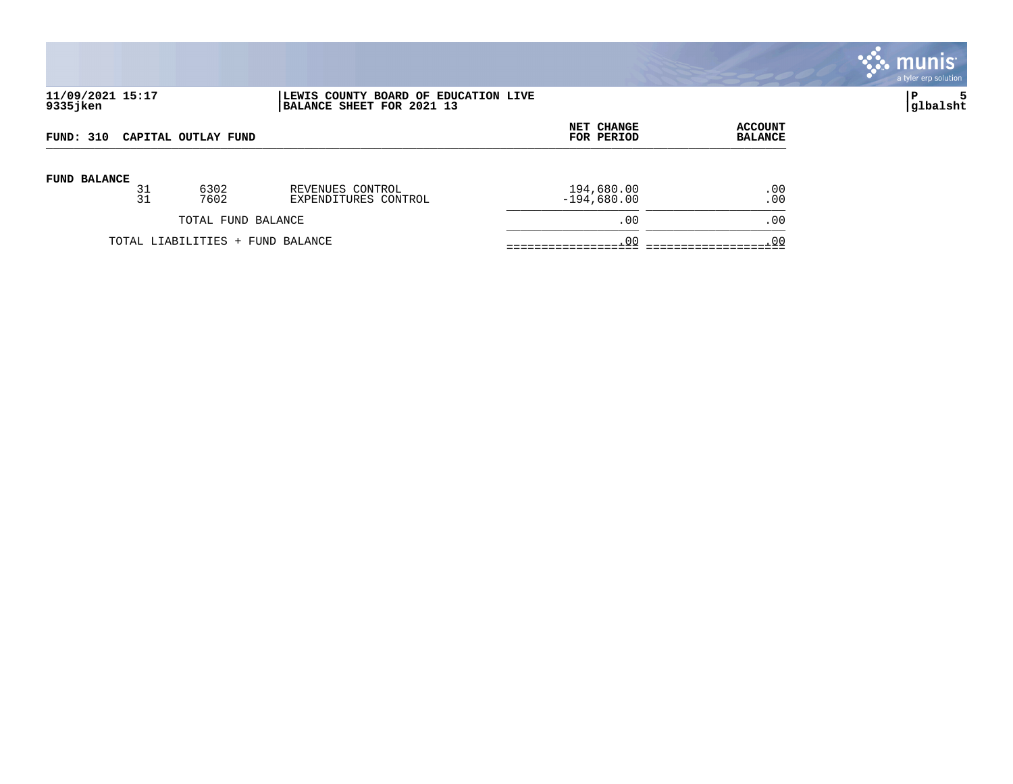

# **11/09/2021 15:17 |LEWIS COUNTY BOARD OF EDUCATION LIVE |P 5 9335jken |BALANCE SHEET FOR 2021 13 |glbalsht**

| <b>FUND: 310</b>    |    |                                  |                      | NET CHANGE    | <b>ACCOUNT</b> |
|---------------------|----|----------------------------------|----------------------|---------------|----------------|
| CAPITAL OUTLAY FUND |    |                                  |                      | FOR PERIOD    | <b>BALANCE</b> |
| <b>FUND BALANCE</b> | 31 | 6302                             | REVENUES CONTROL     | 194,680.00    | .00            |
|                     | 31 | 7602                             | EXPENDITURES CONTROL | $-194,680.00$ | .00            |
|                     |    | TOTAL FUND BALANCE               |                      | .00           | .00            |
|                     |    | TOTAL LIABILITIES + FUND BALANCE |                      | .00           | .00            |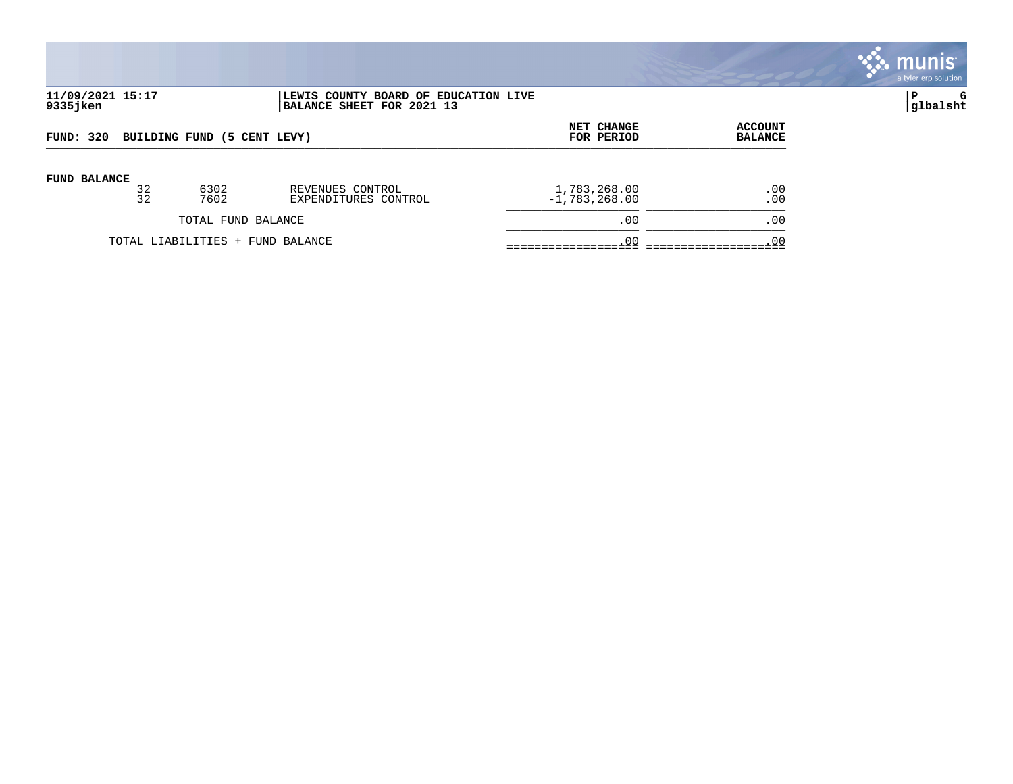

# **11/09/2021 15:17 |LEWIS COUNTY BOARD OF EDUCATION LIVE |P 6 9335jken |BALANCE SHEET FOR 2021 13 |glbalsht**

| BUILDING FUND (5 CENT LEVY)      |    |                    |                      | <b>NET CHANGE</b> | <b>ACCOUNT</b> |
|----------------------------------|----|--------------------|----------------------|-------------------|----------------|
| FUND: 320                        |    |                    |                      | FOR PERIOD        | <b>BALANCE</b> |
| <b>FUND BALANCE</b>              | 32 | 6302               | REVENUES CONTROL     | 1,783,268.00      | .00            |
|                                  | 32 | 7602               | EXPENDITURES CONTROL | $-1,783,268.00$   | .00            |
|                                  |    | TOTAL FUND BALANCE |                      | .00               | .00            |
| TOTAL LIABILITIES + FUND BALANCE |    |                    |                      | .00               | .00            |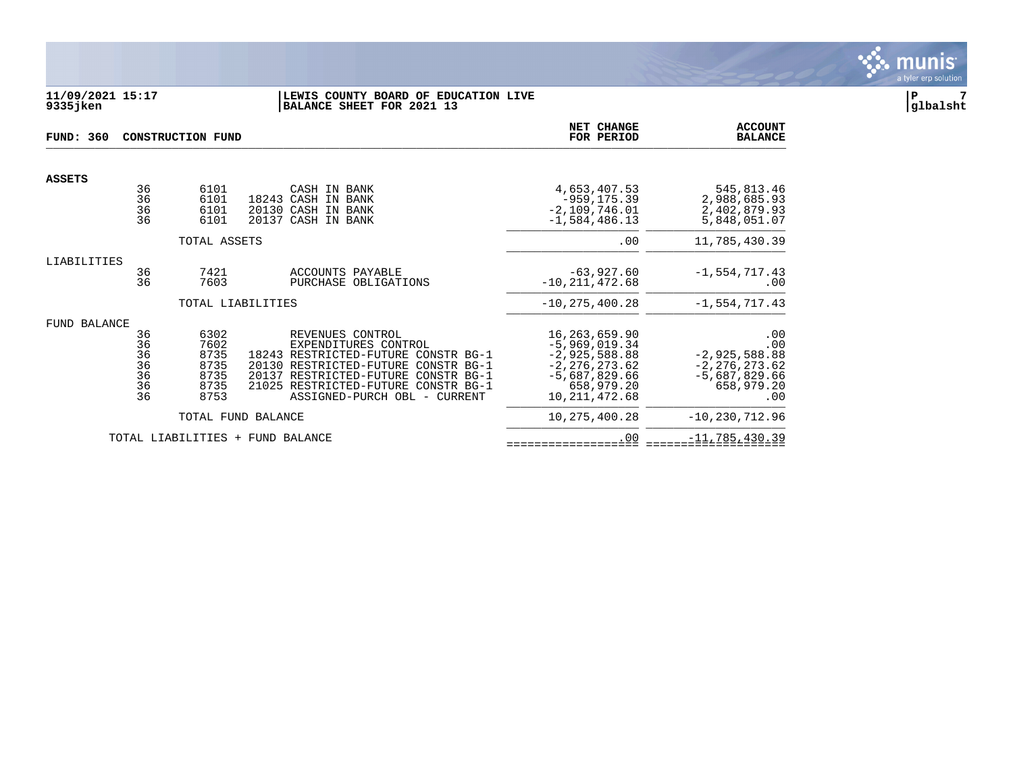

#### **11/09/2021 15:17 |LEWIS COUNTY BOARD OF EDUCATION LIVE |P 7 9335jken |BALANCE SHEET FOR 2021 13 |glbalsht**

| FUND: 360     |                                        | <b>CONSTRUCTION FUND</b>                             |                                                                                                                                                                                                                                      | <b>NET CHANGE</b><br>FOR PERIOD                                                                                                | <b>ACCOUNT</b><br><b>BALANCE</b>                                                           |
|---------------|----------------------------------------|------------------------------------------------------|--------------------------------------------------------------------------------------------------------------------------------------------------------------------------------------------------------------------------------------|--------------------------------------------------------------------------------------------------------------------------------|--------------------------------------------------------------------------------------------|
| <b>ASSETS</b> |                                        |                                                      |                                                                                                                                                                                                                                      |                                                                                                                                |                                                                                            |
|               | 36<br>36<br>36<br>36                   | 6101<br>6101<br>6101<br>6101                         | CASH IN BANK<br>18243 CASH IN BANK<br>20130 CASH IN BANK<br>20137 CASH IN BANK                                                                                                                                                       | 4,653,407.53<br>$-959, 175.39$<br>$-2,109,746.01$<br>$-1,584,486.13$                                                           | 545,813.46<br>2,988,685.93<br>2,402,879.93<br>5,848,051.07                                 |
|               |                                        | TOTAL ASSETS                                         |                                                                                                                                                                                                                                      | .00                                                                                                                            | 11,785,430.39                                                                              |
| LIABILITIES   |                                        |                                                      |                                                                                                                                                                                                                                      |                                                                                                                                |                                                                                            |
|               | 36<br>36                               | 7421<br>7603                                         | ACCOUNTS PAYABLE<br>PURCHASE OBLIGATIONS                                                                                                                                                                                             | $-63,927,60$<br>$-10, 211, 472.68$                                                                                             | $-1,554,717.43$<br>.00                                                                     |
|               |                                        | TOTAL LIABILITIES                                    |                                                                                                                                                                                                                                      | $-10, 275, 400.28$                                                                                                             | $-1,554,717.43$                                                                            |
| FUND BALANCE  | 36<br>36<br>36<br>36<br>36<br>36<br>36 | 6302<br>7602<br>8735<br>8735<br>8735<br>8735<br>8753 | REVENUES CONTROL<br>EXPENDITURES CONTROL<br>18243 RESTRICTED-FUTURE CONSTR BG-1<br>20130 RESTRICTED-FUTURE CONSTR BG-1<br>20137 RESTRICTED-FUTURE CONSTR BG-1<br>21025 RESTRICTED-FUTURE CONSTR BG-1<br>ASSIGNED-PURCH OBL - CURRENT | 16, 263, 659.90<br>$-5,969,019.34$<br>$-2,925,588.88$<br>$-2, 276, 273.62$<br>$-5,687,829.66$<br>658,979.20<br>10, 211, 472.68 | .00<br>.00<br>$-2,925,588.88$<br>$-2, 276, 273.62$<br>$-5,687,829.66$<br>658,979.20<br>.00 |
|               |                                        |                                                      | TOTAL FUND BALANCE                                                                                                                                                                                                                   | 10,275,400.28                                                                                                                  | $-10, 230, 712.96$                                                                         |
|               |                                        | TOTAL LIABILITIES +                                  | FUND BALANCE                                                                                                                                                                                                                         | .00                                                                                                                            | $-11,785,430.39$                                                                           |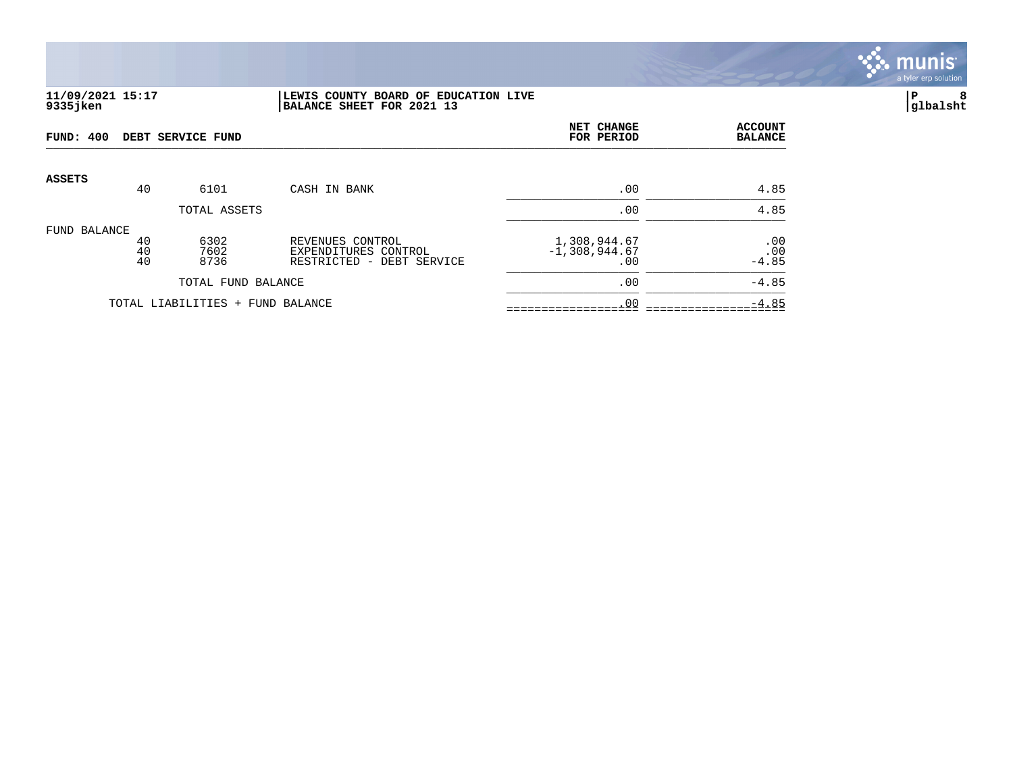

# **11/09/2021 15:17 |LEWIS COUNTY BOARD OF EDUCATION LIVE |P 8 9335jken |BALANCE SHEET FOR 2021 13 |glbalsht**

| FUND: 400     |                | DEBT SERVICE FUND                |                                                                          | NET CHANGE<br>FOR PERIOD               | <b>ACCOUNT</b><br><b>BALANCE</b> |
|---------------|----------------|----------------------------------|--------------------------------------------------------------------------|----------------------------------------|----------------------------------|
| <b>ASSETS</b> | 40             | 6101                             | CASH IN BANK                                                             | .00                                    | 4.85                             |
|               |                | TOTAL ASSETS                     |                                                                          | .00                                    | 4.85                             |
| FUND BALANCE  | 40<br>40<br>40 | 6302<br>7602<br>8736             | REVENUES CONTROL<br>EXPENDITURES CONTROL<br>RESTRICTED -<br>DEBT SERVICE | 1,308,944.67<br>$-1,308,944.67$<br>.00 | .00<br>.00<br>$-4.85$            |
|               |                | TOTAL FUND BALANCE               |                                                                          | .00                                    | $-4.85$                          |
|               |                | TOTAL LIABILITIES + FUND BALANCE |                                                                          | .00                                    | $-4.85$                          |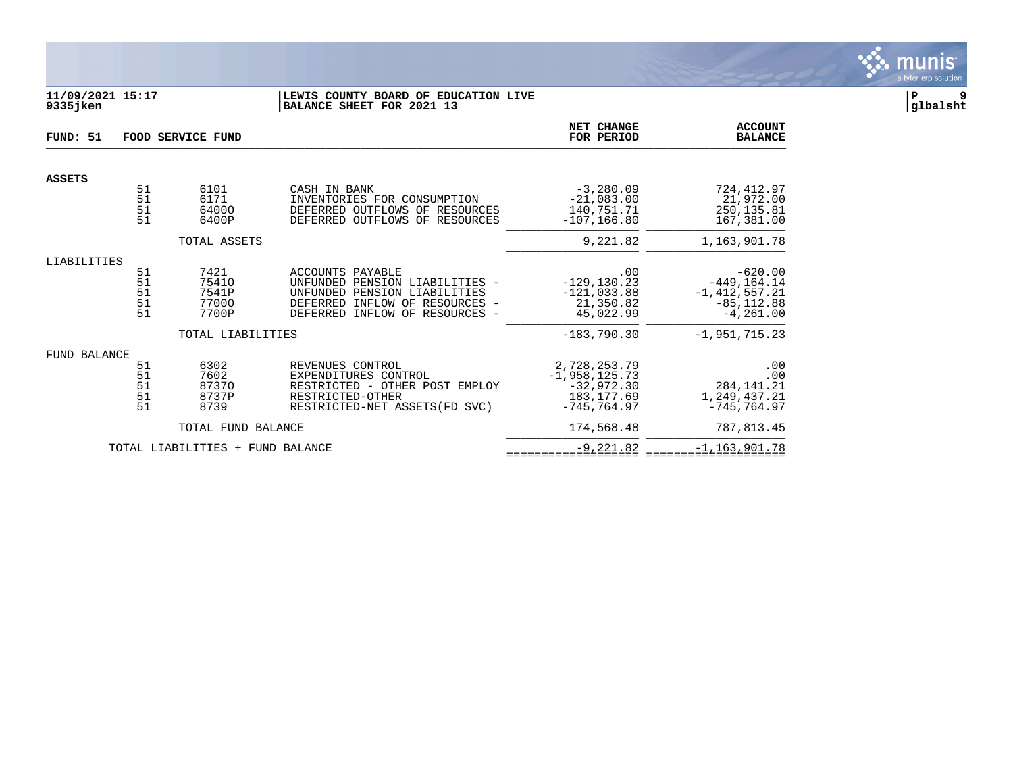

## **11/09/2021 15:17 |LEWIS COUNTY BOARD OF EDUCATION LIVE |P 9 9335jken |BALANCE SHEET FOR 2021 13 |glbalsht**

| FUND: 51            |                                                                  | FOOD SERVICE FUND                        | NET CHANGE<br>FOR PERIOD                                                                                                                                                               | <b>ACCOUNT</b><br><b>BALANCE</b>                                 |                                                                                   |
|---------------------|------------------------------------------------------------------|------------------------------------------|----------------------------------------------------------------------------------------------------------------------------------------------------------------------------------------|------------------------------------------------------------------|-----------------------------------------------------------------------------------|
| <b>ASSETS</b>       |                                                                  |                                          |                                                                                                                                                                                        |                                                                  |                                                                                   |
|                     | $\begin{array}{c} 51 \\ 51 \end{array}$<br>$\overline{51}$<br>51 | 6101<br>6171<br>64000<br>6400P           | CASH IN BANK<br>INVENTORIES FOR CONSUMPTION<br>DEFERRED OUTFLOWS OF RESOURCES<br>DEFERRED OUTFLOWS OF RESOURCES                                                                        | $-3,280.09$<br>$-21,083.00$<br>140,751.71<br>$-107, 166.80$      | 724,412.97<br>21,972.00<br>250, 135.81<br>167,381.00                              |
|                     |                                                                  | TOTAL ASSETS                             |                                                                                                                                                                                        | 9,221.82                                                         | 1,163,901.78                                                                      |
| LIABILITIES         |                                                                  |                                          |                                                                                                                                                                                        |                                                                  |                                                                                   |
|                     | 51<br>51<br>51<br>51<br>51                                       | 7421<br>75410<br>7541P<br>77000<br>7700P | ACCOUNTS PAYABLE<br>UNFUNDED PENSION LIABILITIES -<br>UNFUNDED PENSION LIABILITIES<br>DEFERRED INFLOW OF RESOURCES<br>$\overline{\phantom{a}}$<br>INFLOW OF<br>DEFERRED<br>RESOURCES - | .00<br>$-129, 130.23$<br>$-121,033.88$<br>21,350.82<br>45,022.99 | $-620.00$<br>$-449, 164.14$<br>$-1, 412, 557.21$<br>$-85, 112.88$<br>$-4, 261.00$ |
|                     |                                                                  | TOTAL LIABILITIES                        |                                                                                                                                                                                        | $-183,790.30$                                                    | $-1, 951, 715, 23$                                                                |
| <b>FUND BALANCE</b> | 51                                                               | 6302                                     | REVENUES CONTROL                                                                                                                                                                       | 2,728,253.79                                                     | .00                                                                               |
|                     | 51<br>51<br>51<br>51<br>51                                       | 7602<br>87370<br>8737P<br>8739           | EXPENDITURES CONTROL<br>RESTRICTED - OTHER POST EMPLOY<br>RESTRICTED-OTHER<br>RESTRICTED-NET ASSETS (FD SVC)                                                                           | $-1,958,125.73$<br>$-32,972.30$<br>183, 177.69<br>$-745, 764.97$ | .00<br>284, 141. 21<br>1,249,437.21<br>$-745, 764.97$                             |
|                     |                                                                  | TOTAL FUND BALANCE                       |                                                                                                                                                                                        | 174,568.48                                                       | 787,813.45                                                                        |
|                     |                                                                  | TOTAL LIABILITIES +                      | FUND BALANCE                                                                                                                                                                           | $-9, 221.82$                                                     | $-1, 163, 901.78$                                                                 |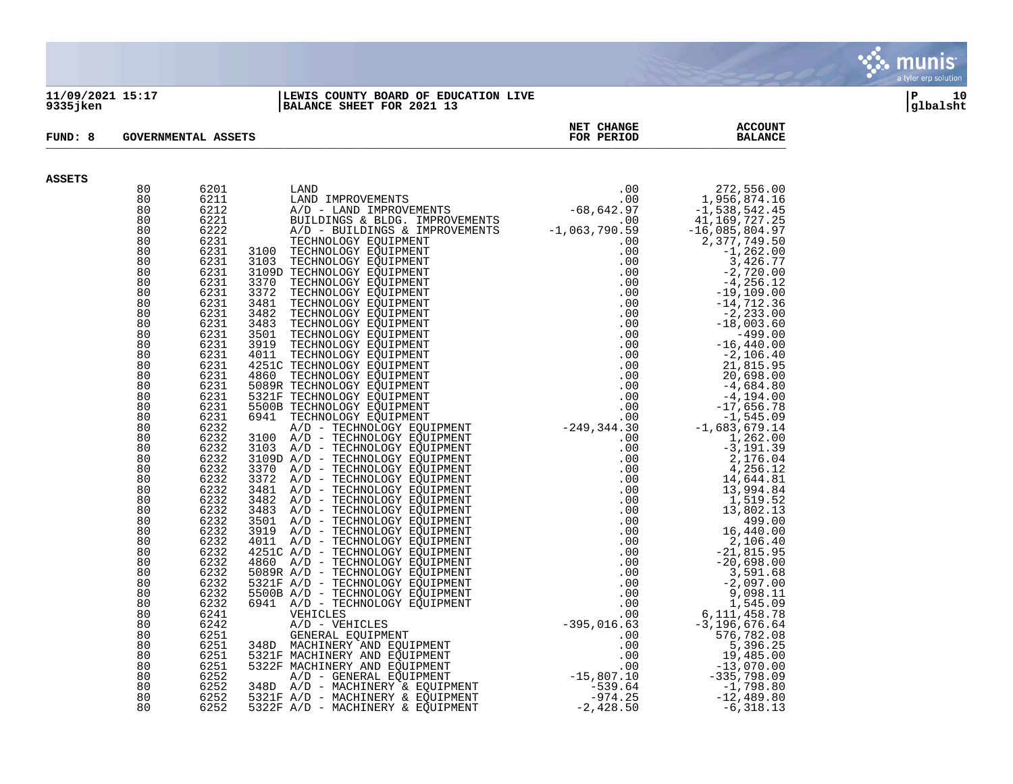

#### **11/09/2021 15:17 |LEWIS COUNTY BOARD OF EDUCATION LIVE |P 10 9335jken |BALANCE SHEET FOR 2021 13 |glbalsht**

| FUND: 8       |          | <b>GOVERNMENTAL ASSETS</b> | NET CHANGE<br>FOR PERIOD                                                                                                                                                                        | <b>ACCOUNT</b><br><b>BALANCE</b> |                                                                                                                                                                                                                   |
|---------------|----------|----------------------------|-------------------------------------------------------------------------------------------------------------------------------------------------------------------------------------------------|----------------------------------|-------------------------------------------------------------------------------------------------------------------------------------------------------------------------------------------------------------------|
| <b>ASSETS</b> |          |                            |                                                                                                                                                                                                 |                                  |                                                                                                                                                                                                                   |
|               | 80       | 6201                       | LAND (00<br>LAND IMPROVEMENTS (00<br>A/D - LAND IMPROVEMENTS -68,642.97<br>BUILDINGS & BLDG. IMPROVEMENTS -1,063,790.59<br>A/D - BUILDINGS & IMPROVEMENTS -1,063,790.59<br>TECHNOLOGY FOUIPMENT |                                  |                                                                                                                                                                                                                   |
|               | 80       | 6211                       |                                                                                                                                                                                                 |                                  | 272,556.00<br>1,956,874.16                                                                                                                                                                                        |
|               | 80       | 6212                       |                                                                                                                                                                                                 |                                  | -1,538,542.45                                                                                                                                                                                                     |
|               | 80       | 6221                       |                                                                                                                                                                                                 |                                  | 41, 169, 727.25                                                                                                                                                                                                   |
|               | 80       | 6222                       |                                                                                                                                                                                                 |                                  | $-16,085,804.97$                                                                                                                                                                                                  |
|               | 80       | 6231                       |                                                                                                                                                                                                 |                                  | 2,377,749.50                                                                                                                                                                                                      |
|               | 80       | 6231                       |                                                                                                                                                                                                 |                                  | $-1, 262.00$                                                                                                                                                                                                      |
|               | 80       | 6231                       |                                                                                                                                                                                                 |                                  | 3,426.77                                                                                                                                                                                                          |
|               | 80       | 6231                       |                                                                                                                                                                                                 |                                  |                                                                                                                                                                                                                   |
|               | 80       | 6231                       |                                                                                                                                                                                                 |                                  |                                                                                                                                                                                                                   |
|               | 80       | 6231                       |                                                                                                                                                                                                 |                                  |                                                                                                                                                                                                                   |
|               | 80       | 6231                       |                                                                                                                                                                                                 |                                  |                                                                                                                                                                                                                   |
|               | 80       | 6231                       |                                                                                                                                                                                                 |                                  |                                                                                                                                                                                                                   |
|               | 80       | 6231                       |                                                                                                                                                                                                 |                                  |                                                                                                                                                                                                                   |
|               | 80       | 6231                       |                                                                                                                                                                                                 |                                  |                                                                                                                                                                                                                   |
|               | 80       | 6231                       |                                                                                                                                                                                                 |                                  |                                                                                                                                                                                                                   |
|               | 80       | 6231                       |                                                                                                                                                                                                 |                                  |                                                                                                                                                                                                                   |
|               | 80       | 6231                       |                                                                                                                                                                                                 |                                  | $\begin{array}{r} -1, 202.000 \\ 3, 426.77 \\ -2, 720.00 \\ -4, 256.12 \\ -19, 109.00 \\ -14, 712.36 \\ -2, 233.00 \\ -18, 003.60 \\ -499.00 \\ -2, 106.40 \\ 21, 815.95 \\ 20, 698.00 \\ -4, 194.00 \end{array}$ |
|               | 80       | 6231                       |                                                                                                                                                                                                 |                                  |                                                                                                                                                                                                                   |
|               | 80       | 6231                       |                                                                                                                                                                                                 |                                  |                                                                                                                                                                                                                   |
|               | 80<br>80 | 6231<br>6231               |                                                                                                                                                                                                 |                                  |                                                                                                                                                                                                                   |
|               | 80       | 6231                       |                                                                                                                                                                                                 |                                  |                                                                                                                                                                                                                   |
|               | 80       | 6232                       |                                                                                                                                                                                                 |                                  | $\begin{array}{r} -4, +2 \\ -17,656. \\ -1,545.09 \\ -1,683,679.14 \\ 1,262.00 \\ -3,191.3 \\ 2,176.0 \\ 4,256. \\ -4,256. \\ \end{array}$                                                                        |
|               | 80       | 6232                       |                                                                                                                                                                                                 |                                  |                                                                                                                                                                                                                   |
|               | 80       | 6232                       |                                                                                                                                                                                                 |                                  |                                                                                                                                                                                                                   |
|               | 80       | 6232                       |                                                                                                                                                                                                 |                                  |                                                                                                                                                                                                                   |
|               | 80       | 6232                       |                                                                                                                                                                                                 |                                  |                                                                                                                                                                                                                   |
|               | 80       | 6232                       |                                                                                                                                                                                                 |                                  | 14,644.81                                                                                                                                                                                                         |
|               | 80       | 6232                       |                                                                                                                                                                                                 |                                  | 13,994.84                                                                                                                                                                                                         |
|               | 80       | 6232                       |                                                                                                                                                                                                 |                                  | 1,519.52                                                                                                                                                                                                          |
|               | 80       | 6232                       |                                                                                                                                                                                                 |                                  | 13,802.13                                                                                                                                                                                                         |
|               | 80       | 6232                       |                                                                                                                                                                                                 |                                  | 499.00                                                                                                                                                                                                            |
|               | 80       | 6232                       |                                                                                                                                                                                                 |                                  | 16,440.00                                                                                                                                                                                                         |
|               | 80       | 6232                       |                                                                                                                                                                                                 |                                  | 2,106.40                                                                                                                                                                                                          |
|               | 80       | 6232                       |                                                                                                                                                                                                 |                                  | 2,106.40<br>21,815.95<br>20,698.00<br>3,591.68                                                                                                                                                                    |
|               | 80       | 6232                       |                                                                                                                                                                                                 |                                  |                                                                                                                                                                                                                   |
|               | 80<br>80 | 6232                       |                                                                                                                                                                                                 |                                  | $-2,097.00$                                                                                                                                                                                                       |
|               | 80       | 6232<br>6232               |                                                                                                                                                                                                 |                                  | 9,098.11                                                                                                                                                                                                          |
|               | 80       | 6232                       |                                                                                                                                                                                                 |                                  | 1,545.09                                                                                                                                                                                                          |
|               | 80       | 6241                       |                                                                                                                                                                                                 |                                  | 6, 111, 458.78                                                                                                                                                                                                    |
|               | 80       | 6242                       |                                                                                                                                                                                                 |                                  | $-3, 196, 676.64$                                                                                                                                                                                                 |
|               | 80       | 6251                       |                                                                                                                                                                                                 |                                  | 576,782.08                                                                                                                                                                                                        |
|               | 80       | 6251                       |                                                                                                                                                                                                 |                                  | 5,396.25                                                                                                                                                                                                          |
|               | 80       | 6251                       |                                                                                                                                                                                                 |                                  | 19,485.00                                                                                                                                                                                                         |
|               | 80       | 6251                       |                                                                                                                                                                                                 |                                  | $-13,070.00$                                                                                                                                                                                                      |
|               | 80       | 6252                       |                                                                                                                                                                                                 |                                  | -335,798.09                                                                                                                                                                                                       |
|               | 80       | 6252                       |                                                                                                                                                                                                 |                                  | $-1,798.80$                                                                                                                                                                                                       |
|               | 80       | 6252                       |                                                                                                                                                                                                 |                                  | $-12,489.80$                                                                                                                                                                                                      |
|               | 80       | 6252                       |                                                                                                                                                                                                 |                                  | $-6,318.13$                                                                                                                                                                                                       |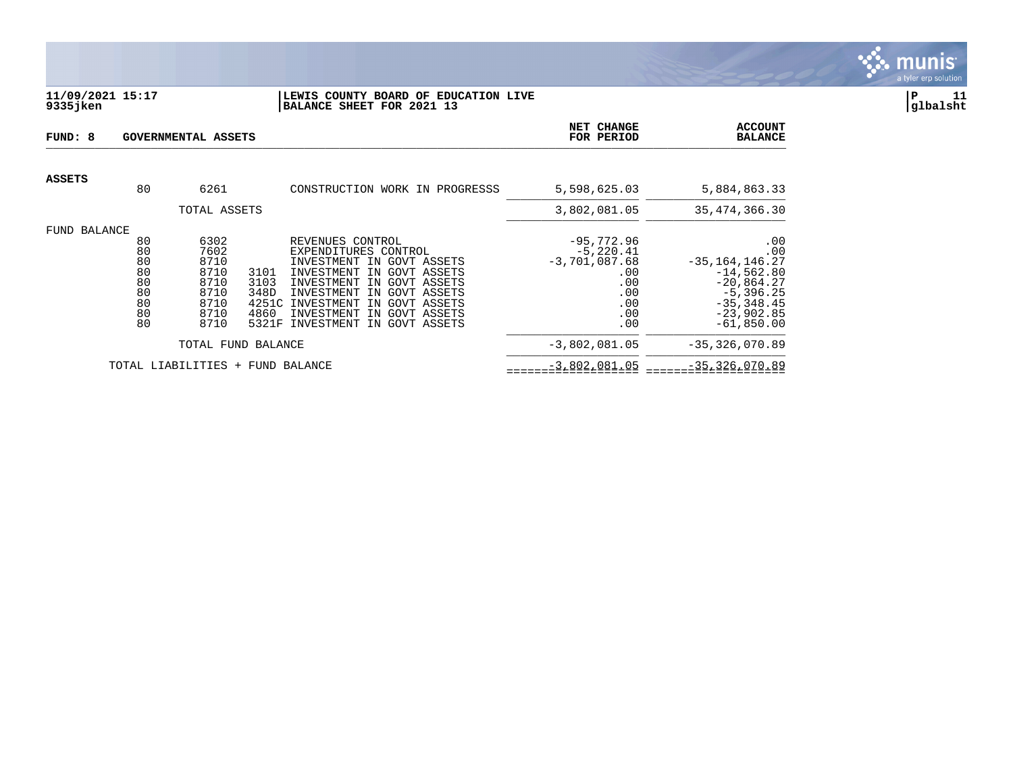

### **11/09/2021 15:17 |LEWIS COUNTY BOARD OF EDUCATION LIVE |P 11 9335jken |BALANCE SHEET FOR 2021 13 |glbalsht**

| FUND: 8<br>GOVERNMENTAL ASSETS |                                                    |                                                                      |                                                                                                                                                                      |                                                                                                                                                                      | <b>NET CHANGE</b><br>FOR PERIOD                                                          | <b>ACCOUNT</b><br><b>BALANCE</b>                                                                                                 |
|--------------------------------|----------------------------------------------------|----------------------------------------------------------------------|----------------------------------------------------------------------------------------------------------------------------------------------------------------------|----------------------------------------------------------------------------------------------------------------------------------------------------------------------|------------------------------------------------------------------------------------------|----------------------------------------------------------------------------------------------------------------------------------|
| <b>ASSETS</b>                  | 80                                                 | 6261                                                                 |                                                                                                                                                                      | CONSTRUCTION WORK IN PROGRESSS                                                                                                                                       | 5,598,625.03                                                                             | 5,884,863.33                                                                                                                     |
|                                |                                                    | TOTAL ASSETS                                                         |                                                                                                                                                                      |                                                                                                                                                                      | 3,802,081.05                                                                             | 35, 474, 366. 30                                                                                                                 |
| FUND BALANCE                   | 80<br>80<br>80<br>80<br>80<br>80<br>80<br>80<br>80 | 6302<br>7602<br>8710<br>8710<br>8710<br>8710<br>8710<br>8710<br>8710 | REVENUES CONTROL<br>INVESTMENT<br>3101<br>INVESTMENT<br>3103<br>INVESTMENT<br>348D<br>INVESTMENT<br>4251C<br>INVESTMENT<br>4860<br>INVESTMENT<br>5321F<br>INVESTMENT | EXPENDITURES CONTROL<br>GOVT ASSETS<br>TN<br>GOVT ASSETS<br>IN<br>GOVT ASSETS<br>TN<br>IN<br>GOVT ASSETS<br>GOVT ASSETS<br>TN<br>GOVT ASSETS<br>IN<br>IN GOVT ASSETS | $-95,772.96$<br>$-5,220.41$<br>$-3,701,087.68$<br>.00<br>.00<br>.00<br>.00<br>.00<br>.00 | .00<br>.00<br>$-35, 164, 146.27$<br>$-14,562.80$<br>$-20,864.27$<br>$-5,396.25$<br>$-35, 348.45$<br>$-23,902.85$<br>$-61,850.00$ |
|                                |                                                    |                                                                      | TOTAL FUND BALANCE                                                                                                                                                   |                                                                                                                                                                      | $-3,802,081.05$                                                                          | $-35, 326, 070.89$                                                                                                               |
|                                |                                                    | TOTAL LIABILITIES                                                    | + FUND BALANCE                                                                                                                                                       |                                                                                                                                                                      | $-3,802,081.05$                                                                          | $-35, 326, 070.89$                                                                                                               |